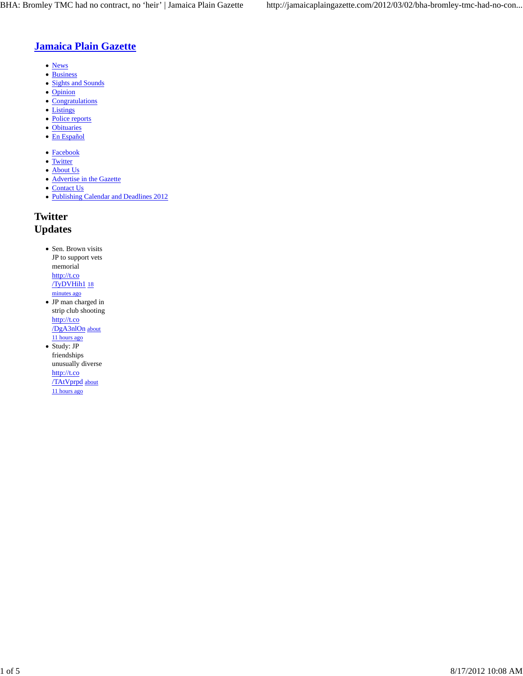## **Jamaica Plain Gazette**

- News
- Business
- Sights and Sounds
- Opinion
- Congratulations
- Listings
- Police reports Obituaries
- En Español
- 
- Facebook
- Twitter
- About Us • Advertise in the Gazette
- Contact Us
- Publishing Calendar and Deadlines 2012

# **Twitter**

## **Updates**

- Sen. Brown visits JP to support vets memorial http://t.co /TyDVHih1 18 minutes ago
- JP man charged in strip club shooting http://t.co /DgA3nlOn about 11 hours ago
- Study: JP friendships unusually diverse http://t.co /TAtVprpd about 11 hours ago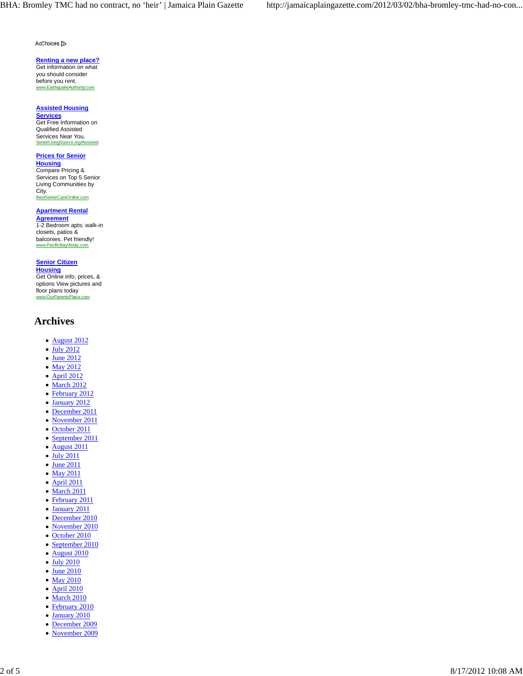AdChoices [D

### **Renting a new place?**

Get information on what you should consider before you rent. www.EarthquakeAuthority.com

### **Assisted Housing**

**Services** Get Free Information on Qualified Assisted Services Near You. SeniorLivingSource.org/Assisted

### **Prices for Senior**

**Housing** Compare Pricing & Services on Top 5 Senior Living Communities by City.<br>BestSe niorCareOnline.com

#### **Apartment Rental Agreement**

1-2 Bedroom apts; walk-in closets, patios & balconies. Pet friendly! www.PacificBayVistas.com

### **Senior Citizen**

**Housing** Get Online info, prices, & options View pictures and floor plans today www.OurParentsPlace.com

## **Archives**

- August 2012
- July 2012
- June 2012
- May 2012
- April 2012
- March 2012
- February 2012
- January 2012
- December 2011
- November 2011
- October 2011
- September 2011
- August 2011
- July 2011
- June 2011
- May 2011
- April 2011
- March 2011
- February 2011
- January 2011
- December 2010  $\bullet$
- November 2010
- October 2010  $\bullet$
- September 2010  $\bullet$
- August 2010  $\bullet$
- July 2010  $\bullet$
- June 2010
- May 2010
- April 2010
- March 2010
- February 2010
- January 2010
- December 2009
- November 2009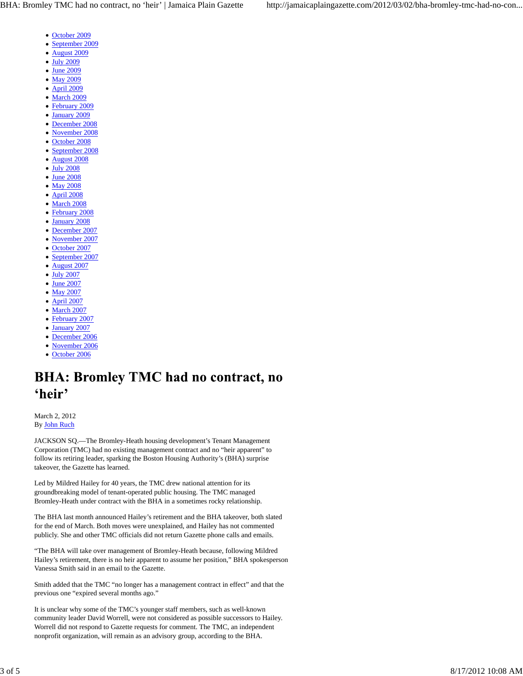- October 2009
- September 2009
- August 2009  $\bullet$
- $\bullet$  July 2009
- June 2009
- May 2009
- April 2009
- 
- March 2009 February 2009
- January 2009
- December 2008
- November 2008
- October 2008
- September 2008
- August 2008
- July 2008
- June 2008
- May 2008
- April 2008
- March 2008
- February 2008
- January 2008
- December 2007
- November 2007
- October 2007
- September 2007
- August 2007
- July 2007
- June 2007
- May 2007
- April 2007  $\bullet$
- March 2007
- February 2007
- January 2007
- December 2006
- November 2006
- October 2006

# **BHA: Bromley TMC had no contract, no** 'heir'

March 2, 2012 By John Ruch

JACKSON SQ.—The Bromley-Heath housing development's Tenant Management Corporation (TMC) had no existing management contract and no "heir apparent" to follow its retiring leader, sparking the Boston Housing Authority's (BHA) surprise takeover, the Gazette has learned.

Led by Mildred Hailey for 40 years, the TMC drew national attention for its groundbreaking model of tenant-operated public housing. The TMC managed Bromley-Heath under contract with the BHA in a sometimes rocky relationship.

The BHA last month announced Hailey's retirement and the BHA takeover, both slated for the end of March. Both moves were unexplained, and Hailey has not commented publicly. She and other TMC officials did not return Gazette phone calls and emails.

"The BHA will take over management of Bromley-Heath because, following Mildred Hailey's retirement, there is no heir apparent to assume her position," BHA spokesperson Vanessa Smith said in an email to the Gazette.

Smith added that the TMC "no longer has a management contract in effect" and that the previous one "expired several months ago."

It is unclear why some of the TMC's younger staff members, such as well-known community leader David Worrell, were not considered as possible successors to Hailey. Worrell did not respond to Gazette requests for comment. The TMC, an independent nonprofit organization, will remain as an advisory group, according to the BHA.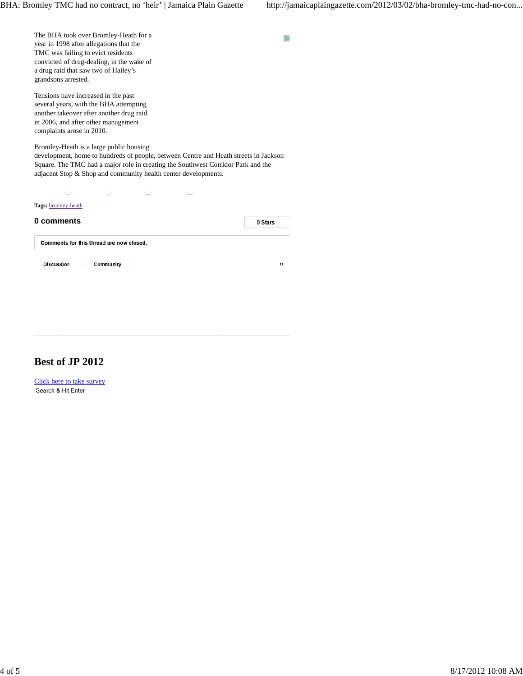$\mathbb D$ 

The BHA took over Bromley-Heath for a year in 1998 after allegations that the TMC was failing to evict residents convicted of drug-dealing, in the wake of a drug raid that saw two of Hailey's grandsons arrested.

Tensions have increased in the past several years, with the BHA attempting another takeover after another drug raid in 2006, and after other management complaints arose in 2010.

Bromley-Heath is a large public housing development, home to hundreds of people, between Centre and Heath streets in Jackson Square. The TMC had a major role in creating the Southwest Corridor Park and the adjacent Stop & Shop and community health center developments.

 $\mathbf{C}$  0  $\mathbf{C}$  0  $\mathbf{C}$  0  $\mathbf{C}$ 

| Tags: bromley-heath                      |              |
|------------------------------------------|--------------|
| 0 comments                               | 0 Stars      |
| Comments for this thread are now closed. |              |
| <b>Discussion</b><br>Community           | $^{\bullet}$ |

# **Best of JP 2012**

Click here to take survey Search & Hit Enter